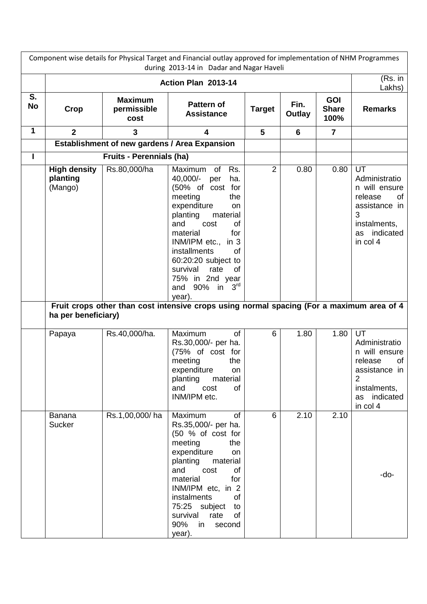| Component wise details for Physical Target and Financial outlay approved for implementation of NHM Programmes<br>during 2013-14 in Dadar and Nagar Haveli |                                                                   |                                       |                                                                                                                                                                                                                                                                                                                                                                                                                                          |                |                |                                    |                                                                                                                                         |  |
|-----------------------------------------------------------------------------------------------------------------------------------------------------------|-------------------------------------------------------------------|---------------------------------------|------------------------------------------------------------------------------------------------------------------------------------------------------------------------------------------------------------------------------------------------------------------------------------------------------------------------------------------------------------------------------------------------------------------------------------------|----------------|----------------|------------------------------------|-----------------------------------------------------------------------------------------------------------------------------------------|--|
|                                                                                                                                                           | Action Plan 2013-14                                               |                                       |                                                                                                                                                                                                                                                                                                                                                                                                                                          |                |                |                                    | (Rs. in<br>Lakhs)                                                                                                                       |  |
| S.<br><b>No</b>                                                                                                                                           | Crop                                                              | <b>Maximum</b><br>permissible<br>cost | <b>Pattern of</b><br><b>Assistance</b>                                                                                                                                                                                                                                                                                                                                                                                                   | <b>Target</b>  | Fin.<br>Outlay | <b>GOI</b><br><b>Share</b><br>100% | <b>Remarks</b>                                                                                                                          |  |
| 1                                                                                                                                                         | $\overline{2}$                                                    | 3                                     | $\overline{\mathbf{4}}$                                                                                                                                                                                                                                                                                                                                                                                                                  | 5              | 6              | $\overline{7}$                     |                                                                                                                                         |  |
|                                                                                                                                                           |                                                                   |                                       | <b>Establishment of new gardens / Area Expansion</b>                                                                                                                                                                                                                                                                                                                                                                                     |                |                |                                    |                                                                                                                                         |  |
| п                                                                                                                                                         |                                                                   | <b>Fruits - Perennials (ha)</b>       |                                                                                                                                                                                                                                                                                                                                                                                                                                          |                |                |                                    |                                                                                                                                         |  |
|                                                                                                                                                           | <b>High density</b><br>planting<br>(Mango)<br>ha per beneficiary) | Rs.80,000/ha                          | Rs.<br>Maximum<br>0f<br>40,000/-<br>per<br>ha.<br>(50% of cost for<br>meeting<br>the<br>expenditure<br><b>on</b><br>planting<br>material<br>of<br>and<br>cost<br>material<br>for<br>INM/IPM etc., in 3<br>installments<br><b>of</b><br>60:20:20 subject to<br>survival<br>rate<br>of<br>75% in 2nd year<br>90% in $3^{rd}$<br>and<br>year).<br>Fruit crops other than cost intensive crops using normal spacing (For a maximum area of 4 | $\overline{2}$ | 0.80           | 0.80                               | UT<br>Administratio<br>n will ensure<br>release<br>of<br>assistance in<br>3<br>instalments,<br>indicated<br>as<br>in col 4              |  |
|                                                                                                                                                           | Papaya                                                            | Rs.40,000/ha.                         | of<br>Maximum<br>Rs.30,000/- per ha.<br>(75% of cost for<br>meeting<br>the<br>expenditure<br>on<br>planting<br>material<br>and<br>cost<br>of<br>INM/IPM etc.                                                                                                                                                                                                                                                                             | 6              | 1.80           | 1.80                               | UT<br>Administratio<br>n will ensure<br>release<br>of<br>assistance in<br>$\overline{2}$<br>instalments,<br>indicated<br>as<br>in col 4 |  |
|                                                                                                                                                           | <b>Banana</b><br><b>Sucker</b>                                    | Rs.1,00,000/ha                        | Maximum<br>of<br>Rs.35,000/- per ha.<br>(50 % of cost for<br>meeting<br>the<br>expenditure<br>on<br>planting<br>material<br>and<br>cost<br>of<br>material<br>for<br>INM/IPM etc, in 2<br>of<br>instalments<br>75:25 subject<br>to<br>survival<br>rate<br>of<br>90%<br>in<br>second<br>year).                                                                                                                                             | 6              | 2.10           | 2.10                               | -do-                                                                                                                                    |  |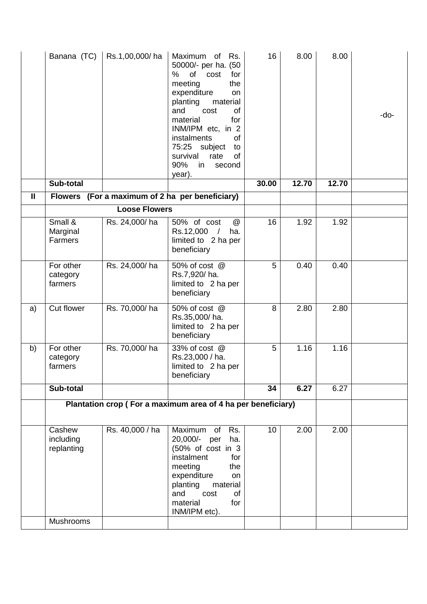|              | Banana (TC)                                                  | Rs.1,00,000/ha       | Maximum of<br>Rs.<br>50000/- per ha. (50<br>of<br>%<br>cost<br>for<br>meeting<br>the<br>expenditure<br><b>on</b><br>planting<br>material<br>and<br>cost<br><b>of</b><br>material<br>for<br>INM/IPM etc, in 2<br>instalments<br>of<br>75:25 subject<br>to<br>survival<br>rate<br>of<br>90%<br>in<br>second<br>year). | 16    | 8.00  | 8.00  | -do- |
|--------------|--------------------------------------------------------------|----------------------|---------------------------------------------------------------------------------------------------------------------------------------------------------------------------------------------------------------------------------------------------------------------------------------------------------------------|-------|-------|-------|------|
|              | Sub-total                                                    |                      |                                                                                                                                                                                                                                                                                                                     | 30.00 | 12.70 | 12.70 |      |
| $\mathbf{I}$ | <b>Flowers</b>                                               |                      | (For a maximum of 2 ha per beneficiary)                                                                                                                                                                                                                                                                             |       |       |       |      |
|              |                                                              | <b>Loose Flowers</b> |                                                                                                                                                                                                                                                                                                                     |       |       |       |      |
|              | Small &<br>Marginal<br>Farmers                               | Rs. 24,000/ha        | 50% of cost<br>@<br>Rs.12,000<br>$\prime$<br>ha.<br>limited to 2 ha per<br>beneficiary                                                                                                                                                                                                                              | 16    | 1.92  | 1.92  |      |
|              | For other<br>category<br>farmers                             | Rs. 24,000/ha        | 50% of cost @<br>Rs.7,920/ha.<br>limited to 2 ha per<br>beneficiary                                                                                                                                                                                                                                                 | 5     | 0.40  | 0.40  |      |
| a)           | Cut flower                                                   | Rs. 70,000/ha        | 50% of cost @<br>Rs.35,000/ha.<br>limited to 2 ha per<br>beneficiary                                                                                                                                                                                                                                                | 8     | 2.80  | 2.80  |      |
| b)           | For other<br>category<br>farmers                             | Rs. 70,000/ha        | 33% of cost @<br>Rs.23,000 / ha.<br>limited to 2 ha per<br>beneficiary                                                                                                                                                                                                                                              | 5     | 1.16  | 1.16  |      |
|              | Sub-total                                                    |                      |                                                                                                                                                                                                                                                                                                                     | 34    | 6.27  | 6.27  |      |
|              | Plantation crop (For a maximum area of 4 ha per beneficiary) |                      |                                                                                                                                                                                                                                                                                                                     |       |       |       |      |
|              | Cashew<br>including<br>replanting<br><b>Mushrooms</b>        | Rs. 40,000 / ha      | Rs.<br>Maximum of<br>20,000/- per<br>ha.<br>(50% of cost in 3<br>instalment<br>for<br>meeting<br>the<br>expenditure<br><b>on</b><br>planting<br>material<br>and<br>cost<br>of<br>material<br>for<br>INM/IPM etc).                                                                                                   | 10    | 2.00  | 2.00  |      |
|              |                                                              |                      |                                                                                                                                                                                                                                                                                                                     |       |       |       |      |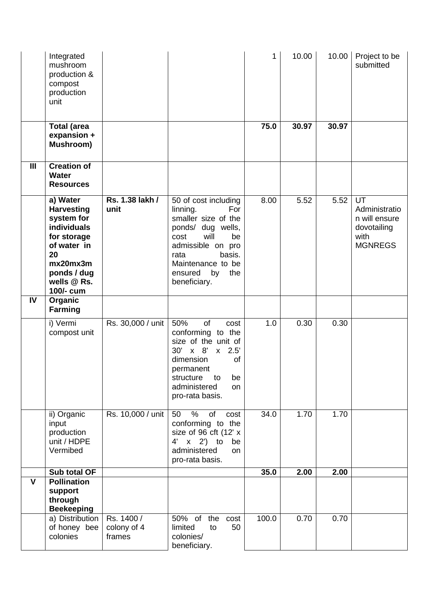|     | Integrated<br>mushroom<br>production &<br>compost<br>production<br>unit                                                                               |                                     |                                                                                                                                                                                                               | 1     | 10.00 | 10.00 | Project to be<br>submitted                                                    |
|-----|-------------------------------------------------------------------------------------------------------------------------------------------------------|-------------------------------------|---------------------------------------------------------------------------------------------------------------------------------------------------------------------------------------------------------------|-------|-------|-------|-------------------------------------------------------------------------------|
|     | <b>Total (area</b><br>expansion +<br>Mushroom)                                                                                                        |                                     |                                                                                                                                                                                                               | 75.0  | 30.97 | 30.97 |                                                                               |
| III | <b>Creation of</b><br><b>Water</b><br><b>Resources</b>                                                                                                |                                     |                                                                                                                                                                                                               |       |       |       |                                                                               |
|     | a) Water<br><b>Harvesting</b><br>system for<br>individuals<br>for storage<br>of water in<br>20<br>mx20mx3m<br>ponds / dug<br>wells @ Rs.<br>100/- cum | Rs. 1.38 lakh /<br>unit             | 50 of cost including<br>linning.<br>For<br>smaller size of the<br>ponds/ dug wells,<br>will<br>cost<br>be<br>admissible on pro<br>basis.<br>rata<br>Maintenance to be<br>ensured<br>by<br>the<br>beneficiary. | 8.00  | 5.52  | 5.52  | UT<br>Administratio<br>n will ensure<br>dovotailing<br>with<br><b>MGNREGS</b> |
| IV  | Organic<br>Farming                                                                                                                                    |                                     |                                                                                                                                                                                                               |       |       |       |                                                                               |
|     | i) Vermi<br>compost unit                                                                                                                              | Rs. 30,000 / unit                   | 50%<br><b>of</b><br>cost<br>conforming to the<br>size of the unit of<br>30'<br>$x \quad 8'$<br>$x$ 2.5'<br>dimension<br>of<br>permanent<br>be<br>structure<br>to<br>administered<br>on<br>pro-rata basis.     | 1.0   | 0.30  | 0.30  |                                                                               |
|     | ii) Organic<br>input<br>production<br>unit / HDPE<br>Vermibed                                                                                         | Rs. 10,000 / unit                   | %<br>of<br>50<br>cost<br>conforming to the<br>size of 96 cft (12' x<br>4' x 2') to<br>be<br>administered<br>on<br>pro-rata basis.                                                                             | 34.0  | 1.70  | 1.70  |                                                                               |
|     | Sub total OF                                                                                                                                          |                                     |                                                                                                                                                                                                               | 35.0  | 2.00  | 2.00  |                                                                               |
| V   | <b>Pollination</b><br>support<br>through<br><b>Beekeeping</b>                                                                                         |                                     |                                                                                                                                                                                                               |       |       |       |                                                                               |
|     | a) Distribution<br>of honey bee<br>colonies                                                                                                           | Rs. 1400 /<br>colony of 4<br>frames | 50% of the cost<br>limited<br>50<br>to<br>colonies/<br>beneficiary.                                                                                                                                           | 100.0 | 0.70  | 0.70  |                                                                               |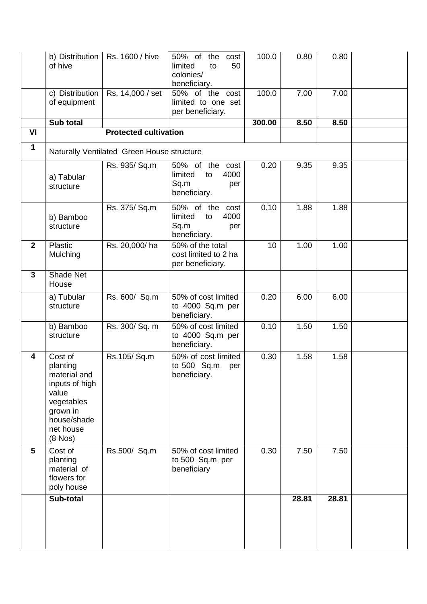|              | b) Distribution  <br>of hive                                                                                                         | Rs. 1600 / hive              | 50% of<br>the<br>cost<br>50<br>limited<br>to<br>colonies/<br>beneficiary.  | 100.0  | 0.80  | 0.80  |  |
|--------------|--------------------------------------------------------------------------------------------------------------------------------------|------------------------------|----------------------------------------------------------------------------|--------|-------|-------|--|
|              | c) Distribution<br>of equipment                                                                                                      | Rs. 14,000 / set             | 50% of the cost<br>limited to one set<br>per beneficiary.                  | 100.0  | 7.00  | 7.00  |  |
|              | Sub total                                                                                                                            |                              |                                                                            | 300.00 | 8.50  | 8.50  |  |
| VI           |                                                                                                                                      | <b>Protected cultivation</b> |                                                                            |        |       |       |  |
| $\mathbf{1}$ | Naturally Ventilated Green House structure                                                                                           |                              |                                                                            |        |       |       |  |
|              | a) Tabular<br>structure                                                                                                              | Rs. 935/ Sq.m                | 50% of the cost<br>limited<br>4000<br>to<br>Sq.m<br>per<br>beneficiary.    | 0.20   | 9.35  | 9.35  |  |
|              | b) Bamboo<br>structure                                                                                                               | Rs. 375/ Sq.m                | 50% of the<br>cost<br>4000<br>limited<br>to<br>Sq.m<br>per<br>beneficiary. | 0.10   | 1.88  | 1.88  |  |
| $\mathbf{2}$ | Plastic<br>Mulching                                                                                                                  | Rs. 20,000/ha                | 50% of the total<br>cost limited to 2 ha<br>per beneficiary.               | 10     | 1.00  | 1.00  |  |
| 3            | <b>Shade Net</b><br>House                                                                                                            |                              |                                                                            |        |       |       |  |
|              | a) Tubular<br>structure                                                                                                              | Rs. 600/ Sq.m                | 50% of cost limited<br>to 4000 Sq.m per<br>beneficiary.                    | 0.20   | 6.00  | 6.00  |  |
|              | b) Bamboo<br>structure                                                                                                               | Rs. 300/ Sq. m               | 50% of cost limited<br>to 4000 Sq.m per<br>beneficiary.                    | 0.10   | 1.50  | 1.50  |  |
| 4            | Cost of<br>planting<br>material and<br>inputs of high<br>value<br>vegetables<br>grown in<br>house/shade<br>net house<br>$(8$ Nos $)$ | Rs.105/Sq.m                  | 50% of cost limited<br>to 500 Sq.m<br>per<br>beneficiary.                  | 0.30   | 1.58  | 1.58  |  |
| 5            | Cost of<br>planting<br>material of<br>flowers for<br>poly house                                                                      | Rs.500/ Sq.m                 | 50% of cost limited<br>to 500 Sq.m per<br>beneficiary                      | 0.30   | 7.50  | 7.50  |  |
|              | Sub-total                                                                                                                            |                              |                                                                            |        | 28.81 | 28.81 |  |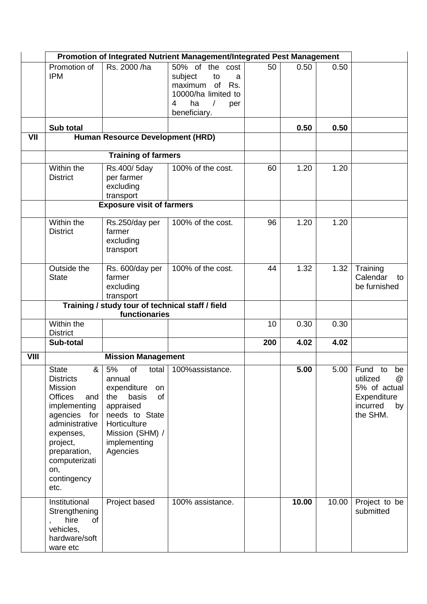|             | Promotion of Integrated Nutrient Management/Integrated Pest Management                                                                                                                                                     |                                                                                                                                                             |                                                                                                                                 |     |       |       |                                                                                                |
|-------------|----------------------------------------------------------------------------------------------------------------------------------------------------------------------------------------------------------------------------|-------------------------------------------------------------------------------------------------------------------------------------------------------------|---------------------------------------------------------------------------------------------------------------------------------|-----|-------|-------|------------------------------------------------------------------------------------------------|
|             | Promotion of<br><b>IPM</b>                                                                                                                                                                                                 | Rs. 2000 /ha                                                                                                                                                | 50% of the cost<br>subject<br>to<br>a<br>maximum of<br>Rs.<br>10000/ha limited to<br>ha<br>4<br>$\prime$<br>per<br>beneficiary. | 50  | 0.50  | 0.50  |                                                                                                |
|             | Sub total                                                                                                                                                                                                                  |                                                                                                                                                             |                                                                                                                                 |     | 0.50  | 0.50  |                                                                                                |
| VII         |                                                                                                                                                                                                                            | <b>Human Resource Development (HRD)</b>                                                                                                                     |                                                                                                                                 |     |       |       |                                                                                                |
|             | <b>Training of farmers</b>                                                                                                                                                                                                 |                                                                                                                                                             |                                                                                                                                 |     |       |       |                                                                                                |
|             | Within the<br><b>District</b>                                                                                                                                                                                              | Rs.400/5day<br>per farmer<br>excluding<br>transport                                                                                                         | 100% of the cost.                                                                                                               | 60  | 1.20  | 1.20  |                                                                                                |
|             |                                                                                                                                                                                                                            | <b>Exposure visit of farmers</b>                                                                                                                            |                                                                                                                                 |     |       |       |                                                                                                |
|             | Within the<br><b>District</b>                                                                                                                                                                                              | Rs.250/day per<br>farmer<br>excluding<br>transport                                                                                                          | 100% of the cost.                                                                                                               | 96  | 1.20  | 1.20  |                                                                                                |
|             | Outside the<br><b>State</b>                                                                                                                                                                                                | Rs. 600/day per<br>farmer<br>excluding<br>transport                                                                                                         | 100% of the cost.                                                                                                               | 44  | 1.32  | 1.32  | Training<br>Calendar<br>to<br>be furnished                                                     |
|             |                                                                                                                                                                                                                            | Training / study tour of technical staff / field<br>functionaries                                                                                           |                                                                                                                                 |     |       |       |                                                                                                |
|             | Within the                                                                                                                                                                                                                 |                                                                                                                                                             |                                                                                                                                 | 10  | 0.30  | 0.30  |                                                                                                |
|             | <b>District</b>                                                                                                                                                                                                            |                                                                                                                                                             |                                                                                                                                 |     |       |       |                                                                                                |
|             | Sub-total                                                                                                                                                                                                                  |                                                                                                                                                             |                                                                                                                                 | 200 | 4.02  | 4.02  |                                                                                                |
| <b>VIII</b> |                                                                                                                                                                                                                            | <b>Mission Management</b>                                                                                                                                   |                                                                                                                                 |     |       |       |                                                                                                |
|             | <b>State</b><br>&<br><b>Districts</b><br><b>Mission</b><br><b>Offices</b><br>and<br>implementing<br>agencies for<br>administrative<br>expenses,<br>project,<br>preparation,<br>computerizati<br>on,<br>contingency<br>etc. | 5%<br>of<br>annual<br>expenditure<br>on<br>the<br>basis<br>of<br>appraised<br>needs to State<br>Horticulture<br>Mission (SHM) /<br>implementing<br>Agencies | total   100% assistance.                                                                                                        |     | 5.00  | 5.00  | Fund<br>to<br>be<br>utilized<br>@<br>5% of actual<br>Expenditure<br>incurred<br>by<br>the SHM. |
|             | Institutional<br>Strengthening<br>hire<br>of<br>,<br>vehicles,<br>hardware/soft<br>ware etc                                                                                                                                | Project based                                                                                                                                               | 100% assistance.                                                                                                                |     | 10.00 | 10.00 | Project to be<br>submitted                                                                     |